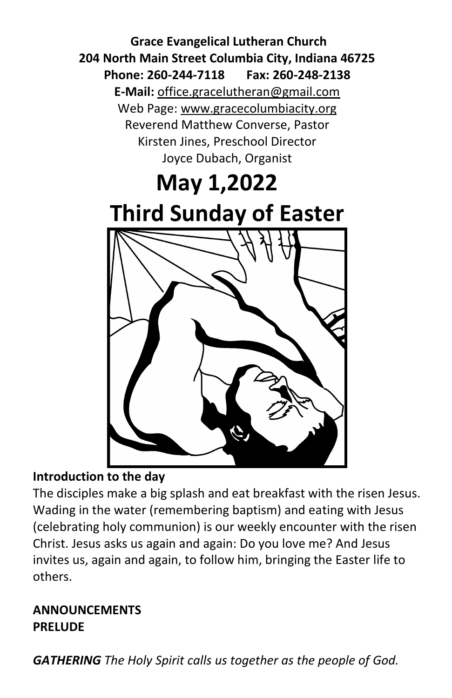**Grace Evangelical Lutheran Church 204 North Main Street Columbia City, Indiana 46725 Phone: 260-244-7118 Fax: 260-248-2138 E-Mail:** office.gracelutheran@gmail.com Web Page: [www.gracecolumbiacity.org](http://www.gracecolumbiacity.org/) Reverend Matthew Converse, Pastor Kirsten Jines, Preschool Director Joyce Dubach, Organist

# **May 1,2022 Third Sunday of Easter**

# **Introduction to the day**

The disciples make a big splash and eat breakfast with the risen Jesus. Wading in the water (remembering baptism) and eating with Jesus (celebrating holy communion) is our weekly encounter with the risen Christ. Jesus asks us again and again: Do you love me? And Jesus invites us, again and again, to follow him, bringing the Easter life to others.

# **ANNOUNCEMENTS PRELUDE**

*GATHERING The Holy Spirit calls us together as the people of God.*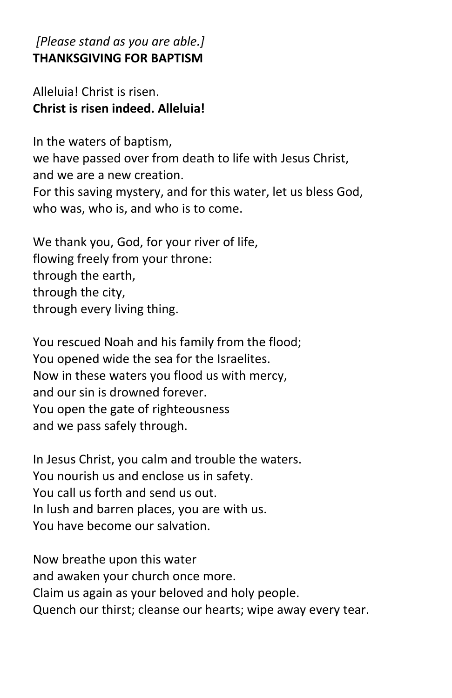# *[Please stand as you are able.]* **THANKSGIVING FOR BAPTISM**

# Alleluia! Christ is risen. **Christ is risen indeed. Alleluia!**

In the waters of baptism, we have passed over from death to life with Jesus Christ, and we are a new creation. For this saving mystery, and for this water, let us bless God, who was, who is, and who is to come.

We thank you, God, for your river of life, flowing freely from your throne: through the earth, through the city, through every living thing.

You rescued Noah and his family from the flood; You opened wide the sea for the Israelites. Now in these waters you flood us with mercy, and our sin is drowned forever. You open the gate of righteousness and we pass safely through.

In Jesus Christ, you calm and trouble the waters. You nourish us and enclose us in safety. You call us forth and send us out. In lush and barren places, you are with us. You have become our salvation.

Now breathe upon this water and awaken your church once more. Claim us again as your beloved and holy people. Quench our thirst; cleanse our hearts; wipe away every tear.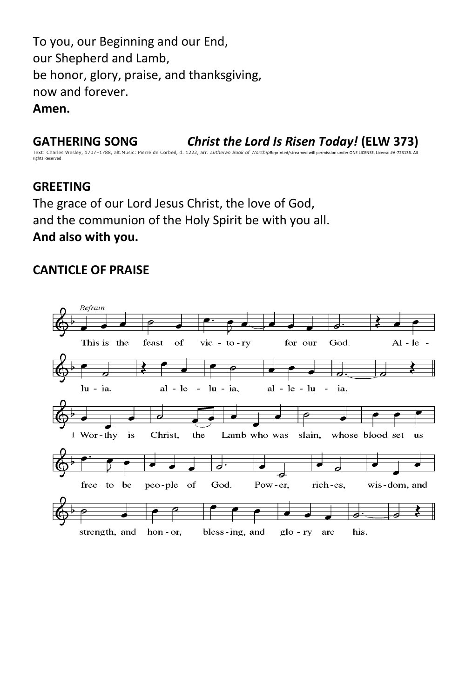To you, our Beginning and our End, our Shepherd and Lamb, be honor, glory, praise, and thanksgiving, now and forever. **Amen.**

**GATHERING SONG** *Christ the Lord Is Risen Today!* **(ELW 373)**

Text: Charles Wesley, 1707–1788, alt.Music: Pierre de Corbeil, d. 1222, arr. *Lutheran Book of Worship*Reprinted/streamed will pe rights Reserved

#### **GREETING**

The grace of our Lord Jesus Christ, the love of God, and the communion of the Holy Spirit be with you all. **And also with you.**

#### **CANTICLE OF PRAISE**

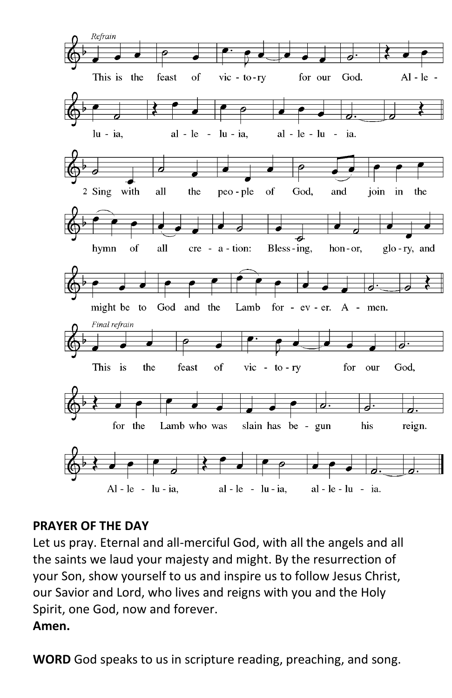

# **PRAYER OF THE DAY**

Let us pray. Eternal and all-merciful God, with all the angels and all the saints we laud your majesty and might. By the resurrection of your Son, show yourself to us and inspire us to follow Jesus Christ, our Savior and Lord, who lives and reigns with you and the Holy Spirit, one God, now and forever.

# **Amen.**

**WORD** God speaks to us in scripture reading, preaching, and song.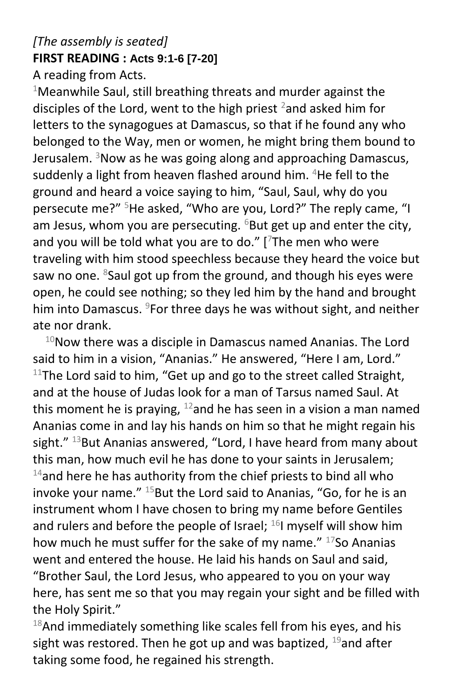# *[The assembly is seated]* **FIRST READING : Acts 9:1-6 [7-20]**

A reading from Acts.

 $1$ Meanwhile Saul, still breathing threats and murder against the disciples of the Lord, went to the high priest  $2$  and asked him for letters to the synagogues at Damascus, so that if he found any who belonged to the Way, men or women, he might bring them bound to Jerusalem.  $3$ Now as he was going along and approaching Damascus, suddenly a light from heaven flashed around him. <sup>4</sup>He fell to the ground and heard a voice saying to him, "Saul, Saul, why do you persecute me?" <sup>5</sup>He asked, "Who are you, Lord?" The reply came, "I am Jesus, whom you are persecuting.  $6B$ ut get up and enter the city, and you will be told what you are to do." [ $7$ The men who were traveling with him stood speechless because they heard the voice but saw no one.  $8$ Saul got up from the ground, and though his eyes were open, he could see nothing; so they led him by the hand and brought him into Damascus. <sup>9</sup>For three days he was without sight, and neither ate nor drank.

 $10$ Now there was a disciple in Damascus named Ananias. The Lord said to him in a vision, "Ananias." He answered, "Here I am, Lord."  $11$ The Lord said to him, "Get up and go to the street called Straight, and at the house of Judas look for a man of Tarsus named Saul. At this moment he is praying,  $12$  and he has seen in a vision a man named Ananias come in and lay his hands on him so that he might regain his sight."  $^{13}$ But Ananias answered, "Lord, I have heard from many about this man, how much evil he has done to your saints in Jerusalem;  $14$ and here he has authority from the chief priests to bind all who invoke your name."  $15$ But the Lord said to Ananias, "Go, for he is an instrument whom I have chosen to bring my name before Gentiles and rulers and before the people of Israel;  $^{16}$ I myself will show him how much he must suffer for the sake of my name." <sup>17</sup>So Ananias went and entered the house. He laid his hands on Saul and said, "Brother Saul, the Lord Jesus, who appeared to you on your way here, has sent me so that you may regain your sight and be filled with the Holy Spirit."

 $18$ And immediately something like scales fell from his eyes, and his sight was restored. Then he got up and was baptized,  $^{19}$ and after taking some food, he regained his strength.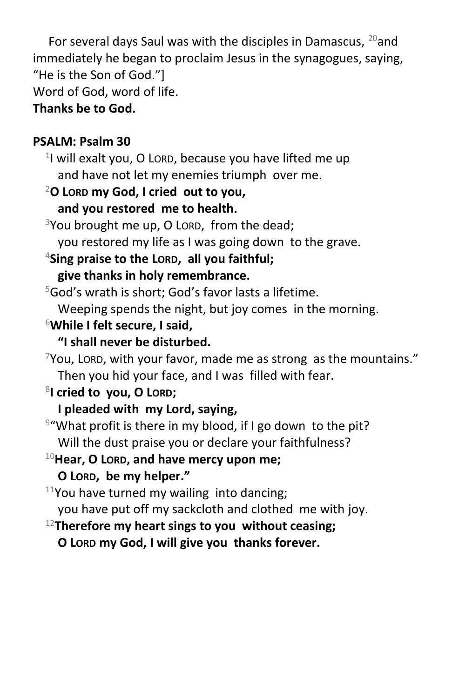For several days Saul was with the disciples in Damascus,  $^{20}$  and immediately he began to proclaim Jesus in the synagogues, saying, "He is the Son of God."] Word of God, word of life.

# **Thanks be to God.**

# **PSALM: Psalm 30**

<sup>1</sup>I will exalt you, O Loro, because you have lifted me up and have not let my enemies triumph over me.

<sup>2</sup>**O LORD my God, I cried out to you,**

# **and you restored me to health.**

 $3$ You brought me up, O LORD, from the dead; you restored my life as I was going down to the grave.

<sup>4</sup>**Sing praise to the LORD, all you faithful; give thanks in holy remembrance.**

<sup>5</sup>God's wrath is short; God's favor lasts a lifetime. Weeping spends the night, but joy comes in the morning.

<sup>6</sup>**While I felt secure, I said,**

# **"I shall never be disturbed.**

 $7$ You, Lord, with your favor, made me as strong as the mountains." Then you hid your face, and I was filled with fear.

- 8 **I cried to you, O LORD;**
	- **I pleaded with my Lord, saying,**
- <sup>9</sup>"What profit is there in my blood, if I go down to the pit? Will the dust praise you or declare your faithfulness?

<sup>10</sup>**Hear, O LORD, and have mercy upon me;**

```
O LORD, be my helper."
```
 $11$ You have turned my wailing into dancing;

you have put off my sackcloth and clothed me with joy.

<sup>12</sup>**Therefore my heart sings to you without ceasing;**

**O LORD my God, I will give you thanks forever.**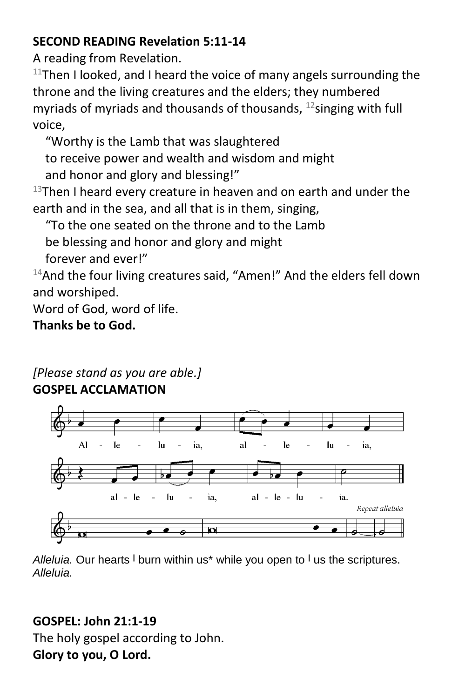# **SECOND READING Revelation 5:11-14**

A reading from Revelation.

 $11$ Then I looked, and I heard the voice of many angels surrounding the throne and the living creatures and the elders; they numbered myriads of myriads and thousands of thousands,  $^{12}$ singing with full voice,

"Worthy is the Lamb that was slaughtered to receive power and wealth and wisdom and might and honor and glory and blessing!"

 $13$ Then I heard every creature in heaven and on earth and under the earth and in the sea, and all that is in them, singing,

"To the one seated on the throne and to the Lamb

be blessing and honor and glory and might

forever and ever!"

<sup>14</sup>And the four living creatures said, "Amen!" And the elders fell down and worshiped.

Word of God, word of life.

# **Thanks be to God.**

# *[Please stand as you are able.]* **GOSPEL ACCLAMATION**



*Alleluia.* Our hearts **<sup>|</sup>** burn within us\* while you open to **<sup>|</sup>** us the scriptures. *Alleluia.*

# **GOSPEL: John 21:1-19**

The holy gospel according to John. **Glory to you, O Lord.**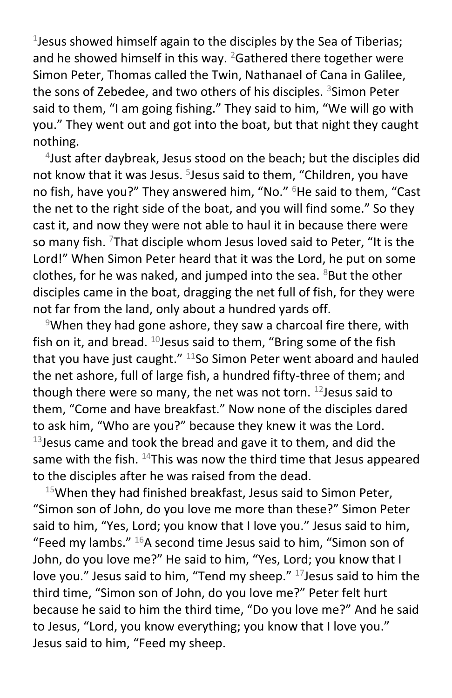1 Jesus showed himself again to the disciples by the Sea of Tiberias; and he showed himself in this way.  $2$ Gathered there together were Simon Peter, Thomas called the Twin, Nathanael of Cana in Galilee, the sons of Zebedee, and two others of his disciples. <sup>3</sup>Simon Peter said to them, "I am going fishing." They said to him, "We will go with you." They went out and got into the boat, but that night they caught nothing.

4 Just after daybreak, Jesus stood on the beach; but the disciples did not know that it was Jesus. <sup>5</sup>Jesus said to them, "Children, you have no fish, have you?" They answered him, "No." <sup>6</sup>He said to them, "Cast the net to the right side of the boat, and you will find some." So they cast it, and now they were not able to haul it in because there were so many fish. <sup>7</sup>That disciple whom Jesus loved said to Peter, "It is the Lord!" When Simon Peter heard that it was the Lord, he put on some clothes, for he was naked, and jumped into the sea.  $8$ But the other disciples came in the boat, dragging the net full of fish, for they were not far from the land, only about a hundred yards off.

<sup>9</sup>When they had gone ashore, they saw a charcoal fire there, with fish on it, and bread.  $^{10}$  Jesus said to them, "Bring some of the fish that you have just caught."  $^{11}$ So Simon Peter went aboard and hauled the net ashore, full of large fish, a hundred fifty-three of them; and though there were so many, the net was not torn.  $^{12}$  Jesus said to them, "Come and have breakfast." Now none of the disciples dared to ask him, "Who are you?" because they knew it was the Lord.  $13$  Jesus came and took the bread and gave it to them, and did the same with the fish.  $^{14}$ This was now the third time that Jesus appeared to the disciples after he was raised from the dead.

 $15$ When they had finished breakfast, Jesus said to Simon Peter, "Simon son of John, do you love me more than these?" Simon Peter said to him, "Yes, Lord; you know that I love you." Jesus said to him, "Feed my lambs."  $16A$  second time Jesus said to him, "Simon son of John, do you love me?" He said to him, "Yes, Lord; you know that I love you." Jesus said to him, "Tend my sheep." <sup>17</sup> Jesus said to him the third time, "Simon son of John, do you love me?" Peter felt hurt because he said to him the third time, "Do you love me?" And he said to Jesus, "Lord, you know everything; you know that I love you." Jesus said to him, "Feed my sheep.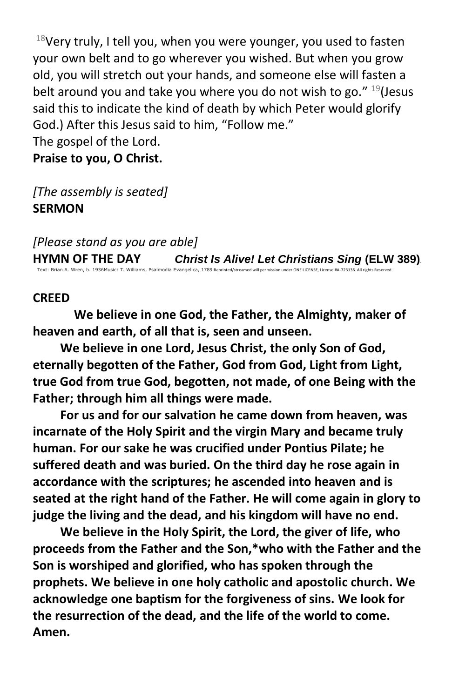$18$ Very truly, I tell you, when you were younger, you used to fasten your own belt and to go wherever you wished. But when you grow old, you will stretch out your hands, and someone else will fasten a belt around you and take you where you do not wish to go."  $19$  (Jesus said this to indicate the kind of death by which Peter would glorify God.) After this Jesus said to him, "Follow me."

The gospel of the Lord. **Praise to you, O Christ.**

*[The assembly is seated]* **SERMON**

*[Please stand as you are able]*

**HYMN OF THE DAY** *Christ Is Alive! Let Christians Sing* **(ELW 389)**. Text: Brian A. Wren, b. 1936Music: T. Williams, Psalmodia Evangelica, 1789 Reprinted/streamed will permission under ONE LICENSE, License #A-723136. All rights Reserved.

#### **CREED**

**We believe in one God, the Father, the Almighty, maker of heaven and earth, of all that is, seen and unseen.**

**We believe in one Lord, Jesus Christ, the only Son of God, eternally begotten of the Father, God from God, Light from Light, true God from true God, begotten, not made, of one Being with the Father; through him all things were made.**

**For us and for our salvation he came down from heaven, was incarnate of the Holy Spirit and the virgin Mary and became truly human. For our sake he was crucified under Pontius Pilate; he suffered death and was buried. On the third day he rose again in accordance with the scriptures; he ascended into heaven and is seated at the right hand of the Father. He will come again in glory to judge the living and the dead, and his kingdom will have no end.**

**We believe in the Holy Spirit, the Lord, the giver of life, who proceeds from the Father and the Son,\*who with the Father and the Son is worshiped and glorified, who has spoken through the prophets. We believe in one holy catholic and apostolic church. We acknowledge one baptism for the forgiveness of sins. We look for the resurrection of the dead, and the life of the world to come. Amen.**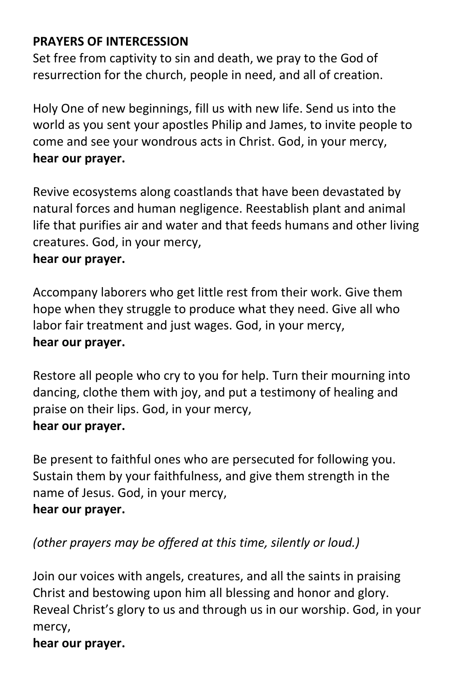# **PRAYERS OF INTERCESSION**

Set free from captivity to sin and death, we pray to the God of resurrection for the church, people in need, and all of creation.

Holy One of new beginnings, fill us with new life. Send us into the world as you sent your apostles Philip and James, to invite people to come and see your wondrous acts in Christ. God, in your mercy, **hear our prayer.**

Revive ecosystems along coastlands that have been devastated by natural forces and human negligence. Reestablish plant and animal life that purifies air and water and that feeds humans and other living creatures. God, in your mercy,

# **hear our prayer.**

Accompany laborers who get little rest from their work. Give them hope when they struggle to produce what they need. Give all who labor fair treatment and just wages. God, in your mercy, **hear our prayer.**

Restore all people who cry to you for help. Turn their mourning into dancing, clothe them with joy, and put a testimony of healing and praise on their lips. God, in your mercy,

### **hear our prayer.**

Be present to faithful ones who are persecuted for following you. Sustain them by your faithfulness, and give them strength in the name of Jesus. God, in your mercy, **hear our prayer.**

# *(other prayers may be offered at this time, silently or loud.)*

Join our voices with angels, creatures, and all the saints in praising Christ and bestowing upon him all blessing and honor and glory. Reveal Christ's glory to us and through us in our worship. God, in your mercy,

### **hear our prayer.**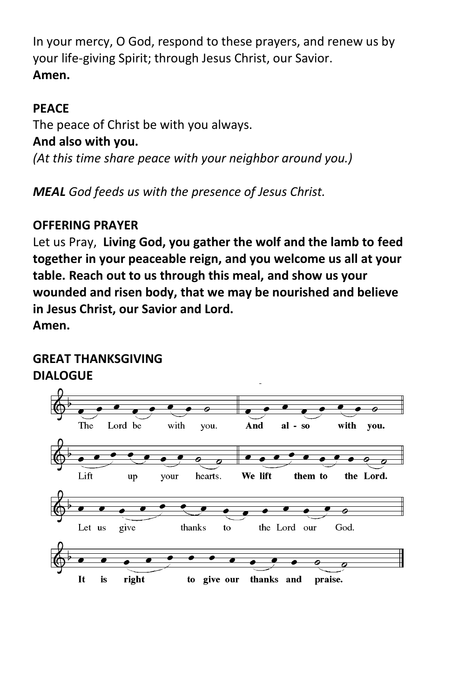In your mercy, O God, respond to these prayers, and renew us by your life-giving Spirit; through Jesus Christ, our Savior. **Amen.**

# **PEACE**

The peace of Christ be with you always.

# **And also with you.**

*(At this time share peace with your neighbor around you.)*

*MEAL God feeds us with the presence of Jesus Christ.*

# **OFFERING PRAYER**

Let us Pray, **Living God, you gather the wolf and the lamb to feed together in your peaceable reign, and you welcome us all at your table. Reach out to us through this meal, and show us your wounded and risen body, that we may be nourished and believe in Jesus Christ, our Savior and Lord.**

**Amen.**

# **GREAT THANKSGIVING DIALOGUE**

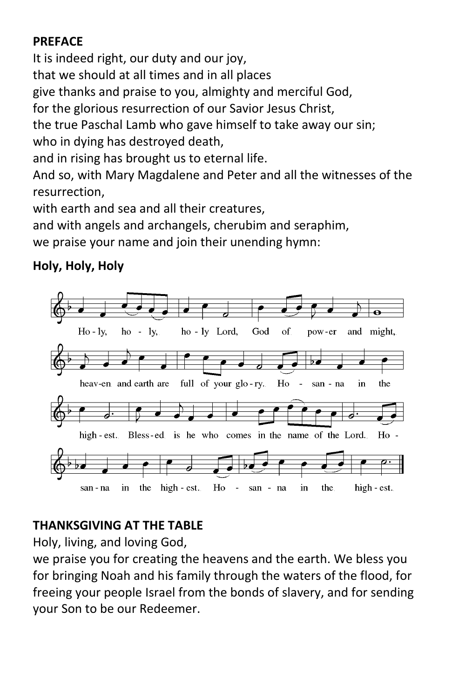# **PREFACE**

It is indeed right, our duty and our joy, that we should at all times and in all places give thanks and praise to you, almighty and merciful God, for the glorious resurrection of our Savior Jesus Christ, the true Paschal Lamb who gave himself to take away our sin; who in dying has destroyed death, and in rising has brought us to eternal life.

And so, with Mary Magdalene and Peter and all the witnesses of the resurrection,

with earth and sea and all their creatures,

and with angels and archangels, cherubim and seraphim,

we praise your name and join their unending hymn:

# **Holy, Holy, Holy**



# **THANKSGIVING AT THE TABLE**

Holy, living, and loving God,

we praise you for creating the heavens and the earth. We bless you for bringing Noah and his family through the waters of the flood, for freeing your people Israel from the bonds of slavery, and for sending your Son to be our Redeemer.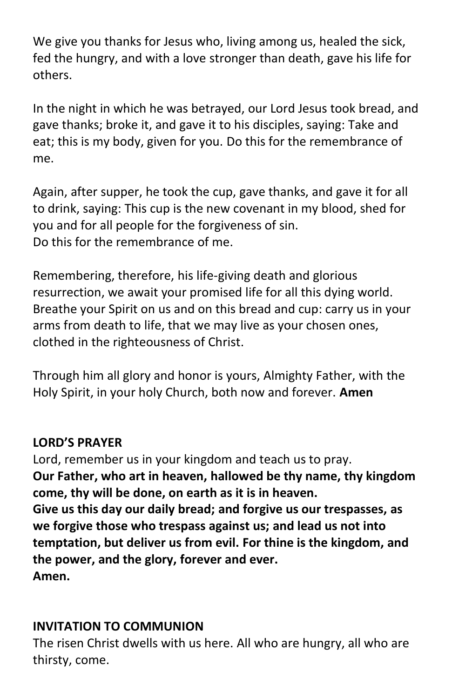We give you thanks for Jesus who, living among us, healed the sick, fed the hungry, and with a love stronger than death, gave his life for others.

In the night in which he was betrayed, our Lord Jesus took bread, and gave thanks; broke it, and gave it to his disciples, saying: Take and eat; this is my body, given for you. Do this for the remembrance of me.

Again, after supper, he took the cup, gave thanks, and gave it for all to drink, saying: This cup is the new covenant in my blood, shed for you and for all people for the forgiveness of sin. Do this for the remembrance of me.

Remembering, therefore, his life-giving death and glorious resurrection, we await your promised life for all this dying world. Breathe your Spirit on us and on this bread and cup: carry us in your arms from death to life, that we may live as your chosen ones, clothed in the righteousness of Christ.

Through him all glory and honor is yours, Almighty Father, with the Holy Spirit, in your holy Church, both now and forever. **Amen**

# **LORD'S PRAYER**

Lord, remember us in your kingdom and teach us to pray. **Our Father, who art in heaven, hallowed be thy name, thy kingdom come, thy will be done, on earth as it is in heaven. Give us this day our daily bread; and forgive us our trespasses, as we forgive those who trespass against us; and lead us not into temptation, but deliver us from evil. For thine is the kingdom, and the power, and the glory, forever and ever. Amen.**

# **INVITATION TO COMMUNION**

The risen Christ dwells with us here. All who are hungry, all who are thirsty, come.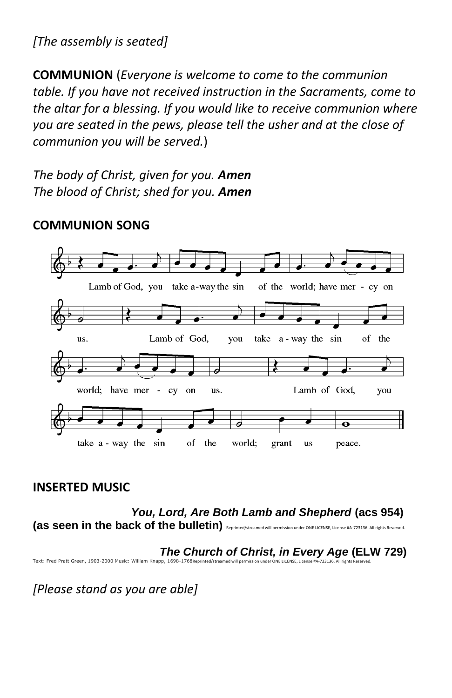*[The assembly is seated]* 

**COMMUNION** (*Everyone is welcome to come to the communion table. If you have not received instruction in the Sacraments, come to the altar for a blessing. If you would like to receive communion where you are seated in the pews, please tell the usher and at the close of communion you will be served.*)

*The body of Christ, given for you. Amen The blood of Christ; shed for you. Amen*

#### Lamb of God, you take a-way the sin of the world; have mer - cy on Lamb of God. take a-way the sin of the us. you Lamb of God, world; have mer - cy on us. you  $\overline{\bullet}$ take a - way the sin of the world; grant us peace.

# **COMMUNION SONG**

### **INSERTED MUSIC**

 *You, Lord, Are Both Lamb and Shepherd* **(acs 954) (as seen in the back of the bulletin)** Reprinted/streamed will permission under ONE LICENSE, License #A-723136. All rights Reserved.

 *The Church of Christ, in Every Age* **(ELW 729)**

Text: Fred Pratt Green, 1903-2000 Music: William Knapp, 1698-1768Reprinted

*[Please stand as you are able]*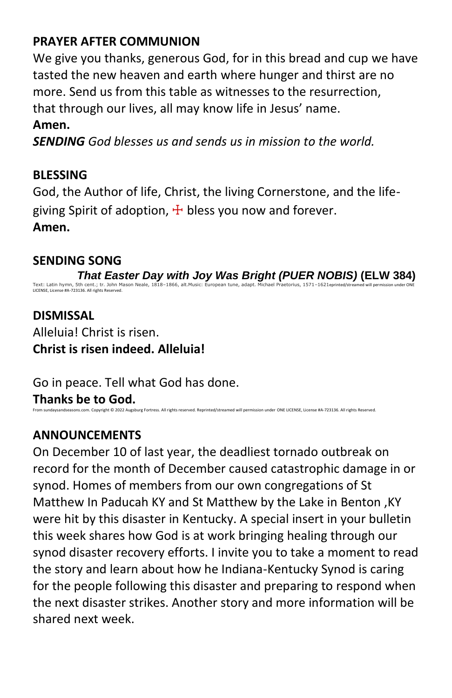# **PRAYER AFTER COMMUNION**

We give you thanks, generous God, for in this bread and cup we have tasted the new heaven and earth where hunger and thirst are no more. Send us from this table as witnesses to the resurrection, that through our lives, all may know life in Jesus' name.

## **Amen.**

*SENDING God blesses us and sends us in mission to the world.*

# **BLESSING**

God, the Author of life, Christ, the living Cornerstone, and the lifegiving Spirit of adoption,  $\pm$  bless you now and forever. **Amen.**

# **SENDING SONG**

 *That Easter Day with Joy Was Bright (PUER NOBIS)* **(ELW 384)** Text: Latin hymn, 5th cent.; tr. John Mason Neale, 1818–1866, alt.Music: European tune, adapt. Michael Praetorius, 1571–1621eprinted/streamed will permission under ONE LICENSE, License #A-723136. All rights Reserved.

# **DISMISSAL** Alleluia! Christ is risen. **Christ is risen indeed. Alleluia!**

Go in peace. Tell what God has done.

**Thanks be to God.**<br>From sundaysandseasons.com. Copyright © 2022 Augsburg Fortress ed will permission under ONE LICENSE. License #A-723136. All rights Reserved.

# **ANNOUNCEMENTS**

On December 10 of last year, the deadliest tornado outbreak on record for the month of December caused catastrophic damage in or synod. Homes of members from our own congregations of St Matthew In Paducah KY and St Matthew by the Lake in Benton ,KY were hit by this disaster in Kentucky. A special insert in your bulletin this week shares how God is at work bringing healing through our synod disaster recovery efforts. I invite you to take a moment to read the story and learn about how he Indiana-Kentucky Synod is caring for the people following this disaster and preparing to respond when the next disaster strikes. Another story and more information will be shared next week.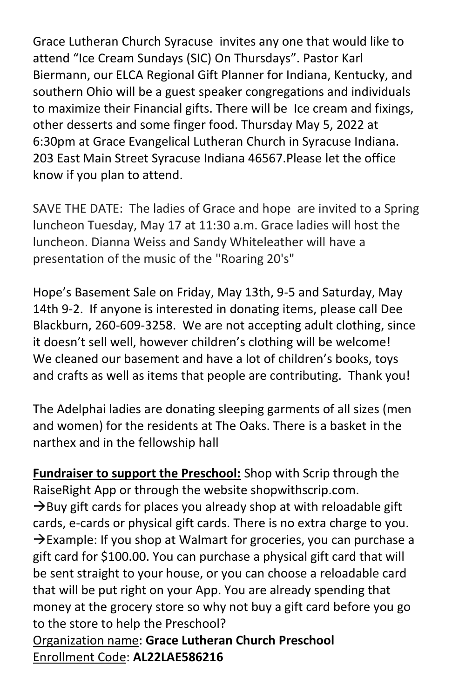Grace Lutheran Church Syracuse invites any one that would like to attend "Ice Cream Sundays (SIC) On Thursdays". Pastor Karl Biermann, our ELCA Regional Gift Planner for Indiana, Kentucky, and southern Ohio will be a guest speaker congregations and individuals to maximize their Financial gifts. There will be Ice cream and fixings, other desserts and some finger food. Thursday May 5, 2022 at 6:30pm at Grace Evangelical Lutheran Church in Syracuse Indiana. 203 East Main Street Syracuse Indiana 46567.Please let the office know if you plan to attend.

SAVE THE DATE: The ladies of Grace and hope are invited to a Spring luncheon Tuesday, May 17 at 11:30 a.m. Grace ladies will host the luncheon. Dianna Weiss and Sandy Whiteleather will have a presentation of the music of the "Roaring 20's"

Hope's Basement Sale on Friday, May 13th, 9-5 and Saturday, May 14th 9-2. If anyone is interested in donating items, please call Dee Blackburn, 260-609-3258. We are not accepting adult clothing, since it doesn't sell well, however children's clothing will be welcome! We cleaned our basement and have a lot of children's books, toys and crafts as well as items that people are contributing. Thank you!

The Adelphai ladies are donating sleeping garments of all sizes (men and women) for the residents at The Oaks. There is a basket in the narthex and in the fellowship hall

**Fundraiser to support the Preschool:** Shop with Scrip through the RaiseRight App or through the website shopwithscrip.com.  $\rightarrow$ Buy gift cards for places you already shop at with reloadable gift cards, e-cards or physical gift cards. There is no extra charge to you.  $\rightarrow$ Example: If you shop at Walmart for groceries, you can purchase a gift card for \$100.00. You can purchase a physical gift card that will be sent straight to your house, or you can choose a reloadable card that will be put right on your App. You are already spending that money at the grocery store so why not buy a gift card before you go to the store to help the Preschool?

Organization name: **Grace Lutheran Church Preschool** Enrollment Code: **AL22LAE586216**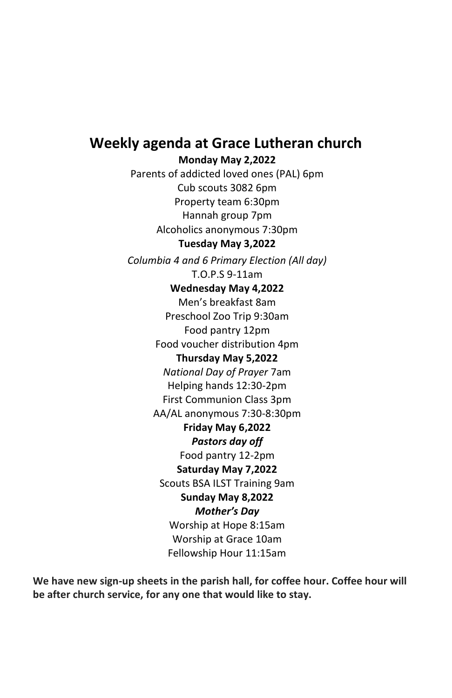# **Weekly agenda at Grace Lutheran church**

**Monday May 2,2022**

Parents of addicted loved ones (PAL) 6pm Cub scouts 3082 6pm Property team 6:30pm Hannah group 7pm Alcoholics anonymous 7:30pm **Tuesday May 3,2022**

*Columbia 4 and 6 Primary Election (All day)* T.O.P.S 9-11am

#### **Wednesday May 4,2022**

Men's breakfast 8am Preschool Zoo Trip 9:30am Food pantry 12pm Food voucher distribution 4pm **Thursday May 5,2022** *National Day of Prayer* 7am Helping hands 12:30-2pm First Communion Class 3pm AA/AL anonymous 7:30-8:30pm **Friday May 6,2022** *Pastors day off* Food pantry 12-2pm **Saturday May 7,2022** Scouts BSA ILST Training 9am **Sunday May 8,2022** *Mother's Day*  Worship at Hope 8:15am Worship at Grace 10am Fellowship Hour 11:15am

**We have new sign-up sheets in the parish hall, for coffee hour. Coffee hour will be after church service, for any one that would like to stay.**